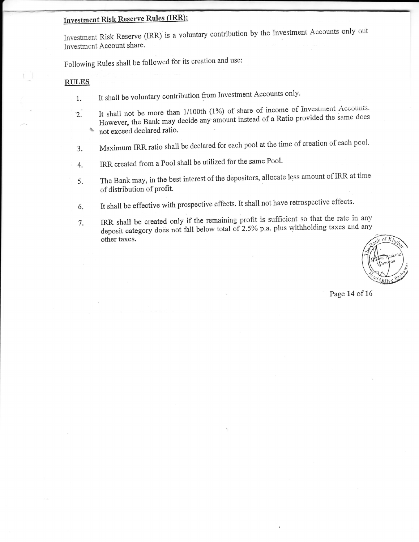## **Investment Risk Reserve Rules (IRR):**

Investment Risk Reserve (IRR) is a voluntary contribution by the Investment Accounts only out Investment Account share.

Following Rules shall be followed for its creation and use:

## **RULES**

- It shall be voluntary contribution from Investment Accounts only.  $1.$
- It shall not be more than 1/100th (1%) of share of income of Investment Accounts.  $2.$ However, the Bank may decide any amount instead of a Ratio provided the same does not exceed declared ratio. gr
- Maximum IRR ratio shall be declared for each pool at the time of creation of each pool. 3.
- IRR created from a Pool shall be utilized for the same Pool.  $4.$
- The Bank may, in the best interest of the depositors, allocate less amount of IRR at time 5. of distribution of profit.
- It shall be effective with prospective effects. It shall not have retrospective effects. 6.
- IRR shall be created only if the remaining profit is sufficient so that the rate in any 7. deposit category does not fall below total of 2.5% p.a. plus withholding taxes and any other taxes.

of  $K_h$ 

Page 14 of 16